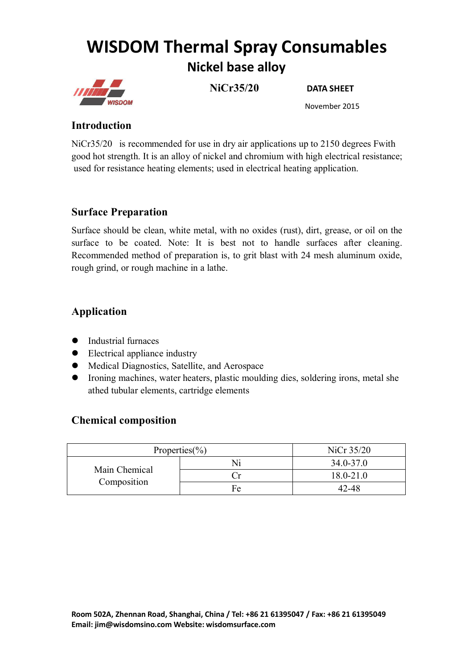# **WISDOM Thermal Spray Consumables Nickel base alloy**



**NiCr35/20 DATA SHEET**

November 2015

#### **Introduction**

NiCr35/20 is recommended for use in dry air applications up to 2150 degrees Fwith good hot strength. It is an alloy of nickel and chromium with high electrical resistance; used for resistance heating elements; used in electrical heating application.

#### **Surface Preparation**

Surface should be clean, white metal, with no oxides (rust), dirt, grease, or oil on the surface to be coated. Note: It is best not to handle surfaces after cleaning. Recommended method of preparation is, to grit blast with 24 mesh aluminum oxide, rough grind, or rough machine in a lathe.

# **Application**

- Industrial furnaces
- Electrical appliance industry
- Medical Diagnostics, Satellite, and Aerospace
- Ironing machines, water heaters, plastic moulding dies, soldering irons, metal she athed tubular elements, cartridge elements

#### **Chemical composition**

| Properties $(\% )$           |    | NiCr 35/20    |
|------------------------------|----|---------------|
| Main Chemical<br>Composition | Ni | $34.0 - 37.0$ |
|                              |    | $18.0 - 21.0$ |
|                              | Fe | 42-48         |